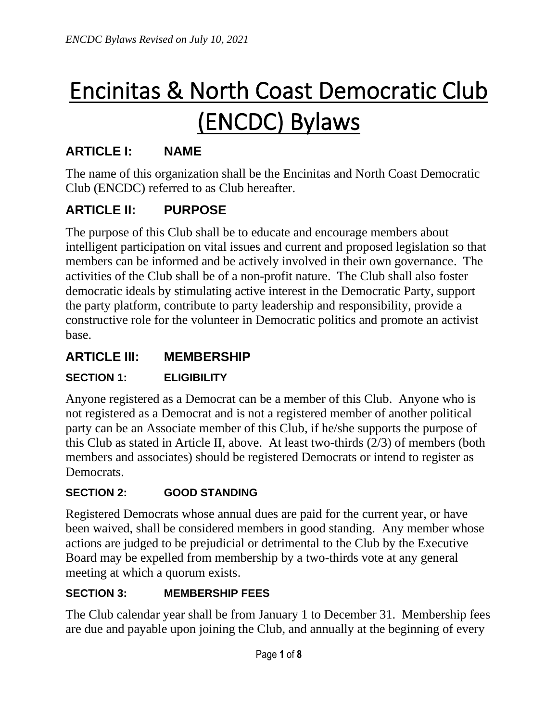# Encinitas & North Coast Democratic Club (ENCDC) Bylaws

# **ARTICLE I: NAME**

The name of this organization shall be the Encinitas and North Coast Democratic Club (ENCDC) referred to as Club hereafter.

# **ARTICLE II: PURPOSE**

The purpose of this Club shall be to educate and encourage members about intelligent participation on vital issues and current and proposed legislation so that members can be informed and be actively involved in their own governance. The activities of the Club shall be of a non-profit nature. The Club shall also foster democratic ideals by stimulating active interest in the Democratic Party, support the party platform, contribute to party leadership and responsibility, provide a constructive role for the volunteer in Democratic politics and promote an activist base.

## **ARTICLE III: MEMBERSHIP**

#### **SECTION 1: ELIGIBILITY**

Anyone registered as a Democrat can be a member of this Club. Anyone who is not registered as a Democrat and is not a registered member of another political party can be an Associate member of this Club, if he/she supports the purpose of this Club as stated in Article II, above. At least two-thirds (2/3) of members (both members and associates) should be registered Democrats or intend to register as Democrats.

#### **SECTION 2: GOOD STANDING**

Registered Democrats whose annual dues are paid for the current year, or have been waived, shall be considered members in good standing. Any member whose actions are judged to be prejudicial or detrimental to the Club by the Executive Board may be expelled from membership by a two-thirds vote at any general meeting at which a quorum exists.

#### **SECTION 3: MEMBERSHIP FEES**

The Club calendar year shall be from January 1 to December 31. Membership fees are due and payable upon joining the Club, and annually at the beginning of every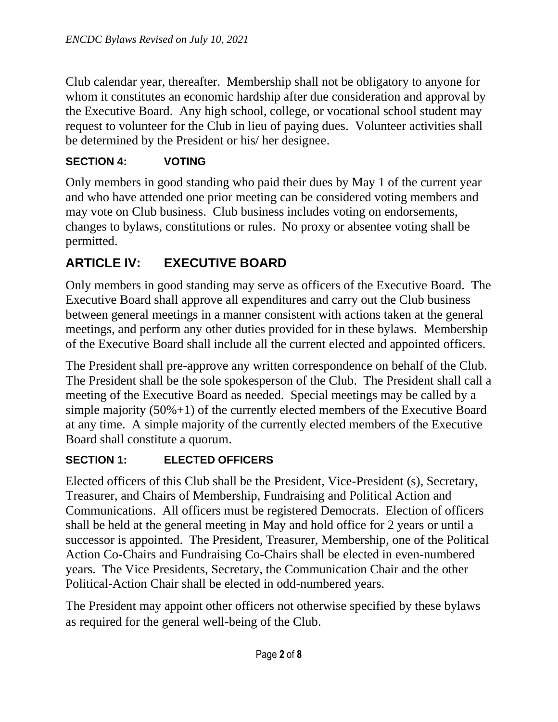Club calendar year, thereafter. Membership shall not be obligatory to anyone for whom it constitutes an economic hardship after due consideration and approval by the Executive Board. Any high school, college, or vocational school student may request to volunteer for the Club in lieu of paying dues. Volunteer activities shall be determined by the President or his/ her designee.

#### **SECTION 4: VOTING**

Only members in good standing who paid their dues by May 1 of the current year and who have attended one prior meeting can be considered voting members and may vote on Club business. Club business includes voting on endorsements, changes to bylaws, constitutions or rules. No proxy or absentee voting shall be permitted.

# **ARTICLE IV: EXECUTIVE BOARD**

Only members in good standing may serve as officers of the Executive Board. The Executive Board shall approve all expenditures and carry out the Club business between general meetings in a manner consistent with actions taken at the general meetings, and perform any other duties provided for in these bylaws. Membership of the Executive Board shall include all the current elected and appointed officers.

The President shall pre-approve any written correspondence on behalf of the Club. The President shall be the sole spokesperson of the Club. The President shall call a meeting of the Executive Board as needed. Special meetings may be called by a simple majority (50%+1) of the currently elected members of the Executive Board at any time. A simple majority of the currently elected members of the Executive Board shall constitute a quorum.

#### **SECTION 1: ELECTED OFFICERS**

Elected officers of this Club shall be the President, Vice-President (s), Secretary, Treasurer, and Chairs of Membership, Fundraising and Political Action and Communications. All officers must be registered Democrats. Election of officers shall be held at the general meeting in May and hold office for 2 years or until a successor is appointed. The President, Treasurer, Membership, one of the Political Action Co-Chairs and Fundraising Co-Chairs shall be elected in even-numbered years. The Vice Presidents, Secretary, the Communication Chair and the other Political-Action Chair shall be elected in odd-numbered years.

The President may appoint other officers not otherwise specified by these bylaws as required for the general well-being of the Club.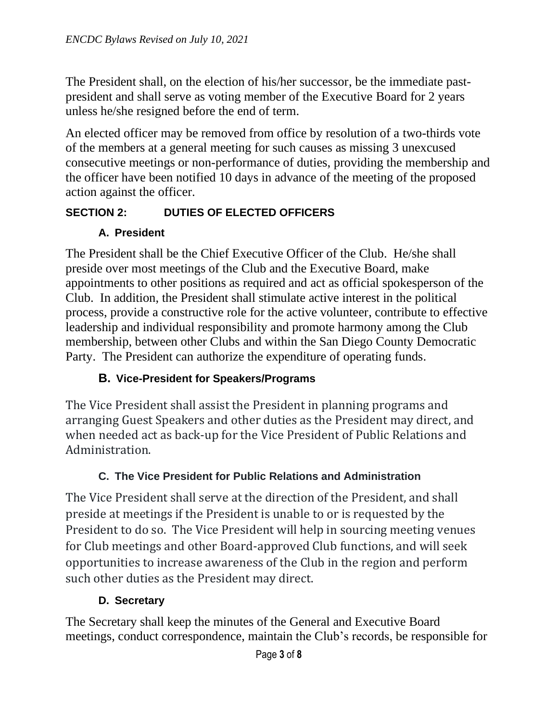The President shall, on the election of his/her successor, be the immediate pastpresident and shall serve as voting member of the Executive Board for 2 years unless he/she resigned before the end of term.

An elected officer may be removed from office by resolution of a two-thirds vote of the members at a general meeting for such causes as missing 3 unexcused consecutive meetings or non-performance of duties, providing the membership and the officer have been notified 10 days in advance of the meeting of the proposed action against the officer.

## **SECTION 2: DUTIES OF ELECTED OFFICERS**

## **A. President**

The President shall be the Chief Executive Officer of the Club. He/she shall preside over most meetings of the Club and the Executive Board, make appointments to other positions as required and act as official spokesperson of the Club. In addition, the President shall stimulate active interest in the political process, provide a constructive role for the active volunteer, contribute to effective leadership and individual responsibility and promote harmony among the Club membership, between other Clubs and within the San Diego County Democratic Party. The President can authorize the expenditure of operating funds.

## **B. Vice-President for Speakers/Programs**

The Vice President shall assist the President in planning programs and arranging Guest Speakers and other duties as the President may direct, and when needed act as back-up for the Vice President of Public Relations and Administration.

## **C. The Vice President for Public Relations and Administration**

The Vice President shall serve at the direction of the President, and shall preside at meetings if the President is unable to or is requested by the President to do so. The Vice President will help in sourcing meeting venues for Club meetings and other Board-approved Club functions, and will seek opportunities to increase awareness of the Club in the region and perform such other duties as the President may direct.

## **D. Secretary**

The Secretary shall keep the minutes of the General and Executive Board meetings, conduct correspondence, maintain the Club's records, be responsible for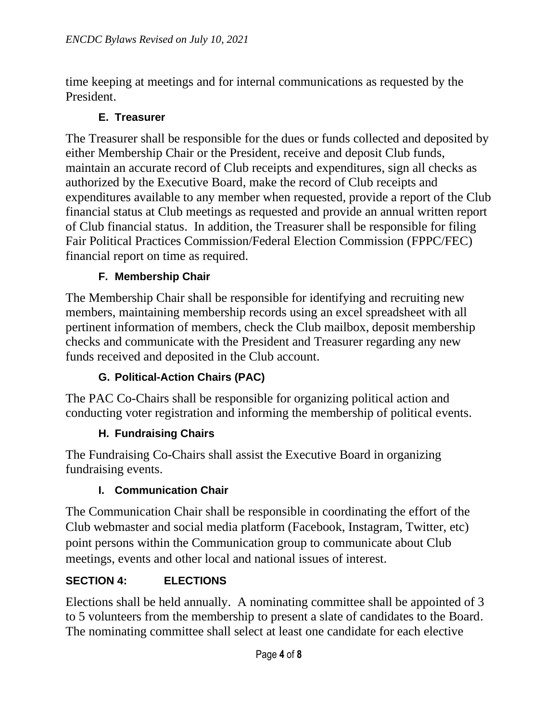time keeping at meetings and for internal communications as requested by the President.

#### **E. Treasurer**

The Treasurer shall be responsible for the dues or funds collected and deposited by either Membership Chair or the President, receive and deposit Club funds, maintain an accurate record of Club receipts and expenditures, sign all checks as authorized by the Executive Board, make the record of Club receipts and expenditures available to any member when requested, provide a report of the Club financial status at Club meetings as requested and provide an annual written report of Club financial status. In addition, the Treasurer shall be responsible for filing Fair Political Practices Commission/Federal Election Commission (FPPC/FEC) financial report on time as required.

#### **F. Membership Chair**

The Membership Chair shall be responsible for identifying and recruiting new members, maintaining membership records using an excel spreadsheet with all pertinent information of members, check the Club mailbox, deposit membership checks and communicate with the President and Treasurer regarding any new funds received and deposited in the Club account.

#### **G. Political-Action Chairs (PAC)**

The PAC Co-Chairs shall be responsible for organizing political action and conducting voter registration and informing the membership of political events.

#### **H. Fundraising Chairs**

The Fundraising Co-Chairs shall assist the Executive Board in organizing fundraising events.

#### **I. Communication Chair**

The Communication Chair shall be responsible in coordinating the effort of the Club webmaster and social media platform (Facebook, Instagram, Twitter, etc) point persons within the Communication group to communicate about Club meetings, events and other local and national issues of interest.

#### **SECTION 4: ELECTIONS**

Elections shall be held annually. A nominating committee shall be appointed of 3 to 5 volunteers from the membership to present a slate of candidates to the Board. The nominating committee shall select at least one candidate for each elective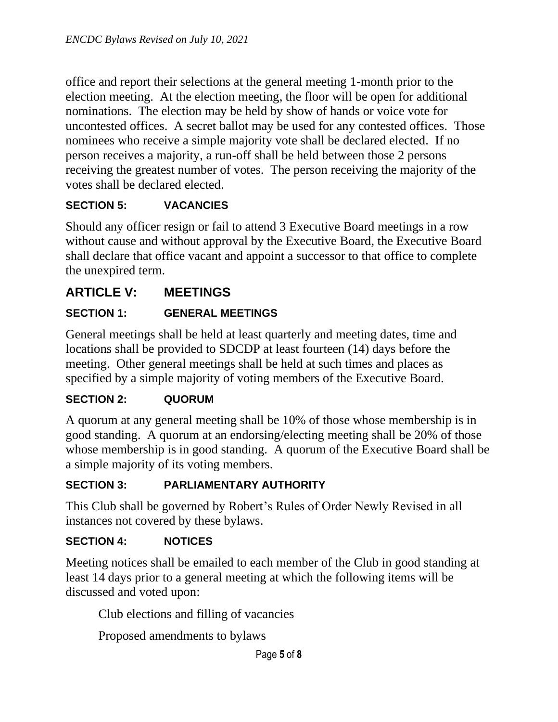office and report their selections at the general meeting 1-month prior to the election meeting. At the election meeting, the floor will be open for additional nominations. The election may be held by show of hands or voice vote for uncontested offices. A secret ballot may be used for any contested offices. Those nominees who receive a simple majority vote shall be declared elected. If no person receives a majority, a run-off shall be held between those 2 persons receiving the greatest number of votes. The person receiving the majority of the votes shall be declared elected.

#### **SECTION 5: VACANCIES**

Should any officer resign or fail to attend 3 Executive Board meetings in a row without cause and without approval by the Executive Board, the Executive Board shall declare that office vacant and appoint a successor to that office to complete the unexpired term.

# **ARTICLE V: MEETINGS**

#### **SECTION 1: GENERAL MEETINGS**

General meetings shall be held at least quarterly and meeting dates, time and locations shall be provided to SDCDP at least fourteen (14) days before the meeting. Other general meetings shall be held at such times and places as specified by a simple majority of voting members of the Executive Board.

#### **SECTION 2: QUORUM**

A quorum at any general meeting shall be 10% of those whose membership is in good standing. A quorum at an endorsing/electing meeting shall be 20% of those whose membership is in good standing. A quorum of the Executive Board shall be a simple majority of its voting members.

#### **SECTION 3: PARLIAMENTARY AUTHORITY**

This Club shall be governed by Robert's Rules of Order Newly Revised in all instances not covered by these bylaws.

#### **SECTION 4: NOTICES**

Meeting notices shall be emailed to each member of the Club in good standing at least 14 days prior to a general meeting at which the following items will be discussed and voted upon:

Club elections and filling of vacancies

Proposed amendments to bylaws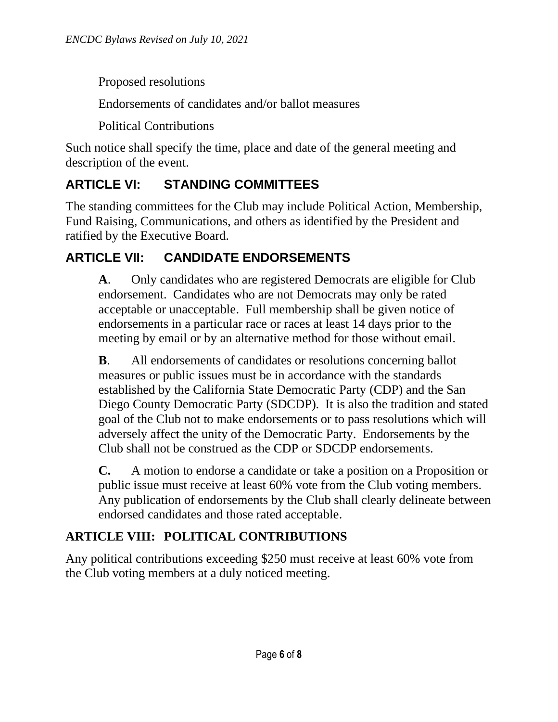Proposed resolutions

Endorsements of candidates and/or ballot measures

Political Contributions

Such notice shall specify the time, place and date of the general meeting and description of the event.

# **ARTICLE VI: STANDING COMMITTEES**

The standing committees for the Club may include Political Action, Membership, Fund Raising, Communications, and others as identified by the President and ratified by the Executive Board.

# **ARTICLE VII: CANDIDATE ENDORSEMENTS**

**A**. Only candidates who are registered Democrats are eligible for Club endorsement. Candidates who are not Democrats may only be rated acceptable or unacceptable. Full membership shall be given notice of endorsements in a particular race or races at least 14 days prior to the meeting by email or by an alternative method for those without email.

**B**. All endorsements of candidates or resolutions concerning ballot measures or public issues must be in accordance with the standards established by the California State Democratic Party (CDP) and the San Diego County Democratic Party (SDCDP). It is also the tradition and stated goal of the Club not to make endorsements or to pass resolutions which will adversely affect the unity of the Democratic Party. Endorsements by the Club shall not be construed as the CDP or SDCDP endorsements.

**C.** A motion to endorse a candidate or take a position on a Proposition or public issue must receive at least 60% vote from the Club voting members. Any publication of endorsements by the Club shall clearly delineate between endorsed candidates and those rated acceptable.

# **ARTICLE VIII: POLITICAL CONTRIBUTIONS**

Any political contributions exceeding \$250 must receive at least 60% vote from the Club voting members at a duly noticed meeting.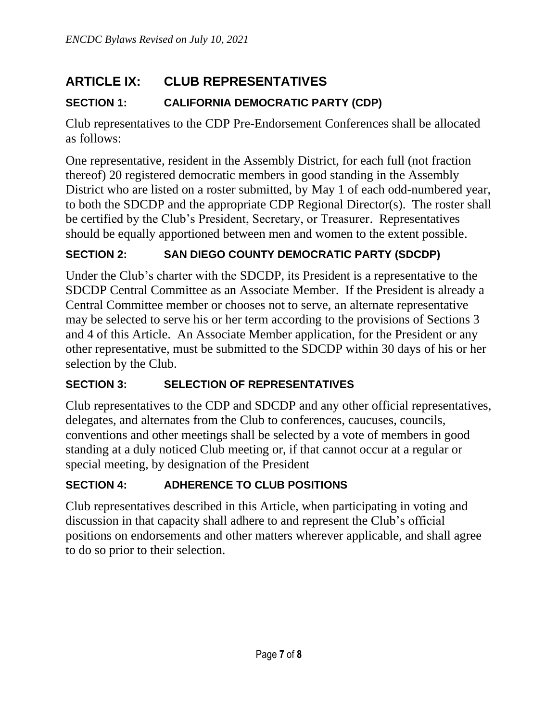# **ARTICLE IX: CLUB REPRESENTATIVES**

## **SECTION 1: CALIFORNIA DEMOCRATIC PARTY (CDP)**

Club representatives to the CDP Pre-Endorsement Conferences shall be allocated as follows:

One representative, resident in the Assembly District, for each full (not fraction thereof) 20 registered democratic members in good standing in the Assembly District who are listed on a roster submitted, by May 1 of each odd-numbered year, to both the SDCDP and the appropriate CDP Regional Director(s). The roster shall be certified by the Club's President, Secretary, or Treasurer. Representatives should be equally apportioned between men and women to the extent possible.

#### **SECTION 2: SAN DIEGO COUNTY DEMOCRATIC PARTY (SDCDP)**

Under the Club's charter with the SDCDP, its President is a representative to the SDCDP Central Committee as an Associate Member. If the President is already a Central Committee member or chooses not to serve, an alternate representative may be selected to serve his or her term according to the provisions of Sections 3 and 4 of this Article. An Associate Member application, for the President or any other representative, must be submitted to the SDCDP within 30 days of his or her selection by the Club.

#### **SECTION 3: SELECTION OF REPRESENTATIVES**

Club representatives to the CDP and SDCDP and any other official representatives, delegates, and alternates from the Club to conferences, caucuses, councils, conventions and other meetings shall be selected by a vote of members in good standing at a duly noticed Club meeting or, if that cannot occur at a regular or special meeting, by designation of the President

#### **SECTION 4: ADHERENCE TO CLUB POSITIONS**

Club representatives described in this Article, when participating in voting and discussion in that capacity shall adhere to and represent the Club's official positions on endorsements and other matters wherever applicable, and shall agree to do so prior to their selection.